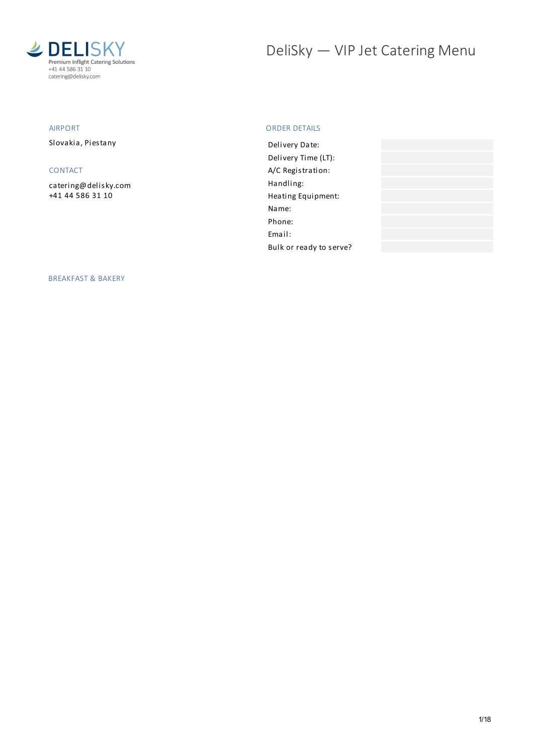

# DeliSky - VIP Jet Catering Menu

# AIRPORT

Slovakia, Piestany

## CONTACT

[catering@delisky.com](mailto:catering@delisky.com) +41 44 586 31 10

## ORDER DETAILS

| Delivery Date:          |  |
|-------------------------|--|
| Delivery Time (LT):     |  |
| A/C Registration:       |  |
| Handling:               |  |
| Heating Equipment:      |  |
| Name:                   |  |
| Phone:                  |  |
| Email:                  |  |
| Bulk or ready to serve? |  |

BREAKFAST & BAKERY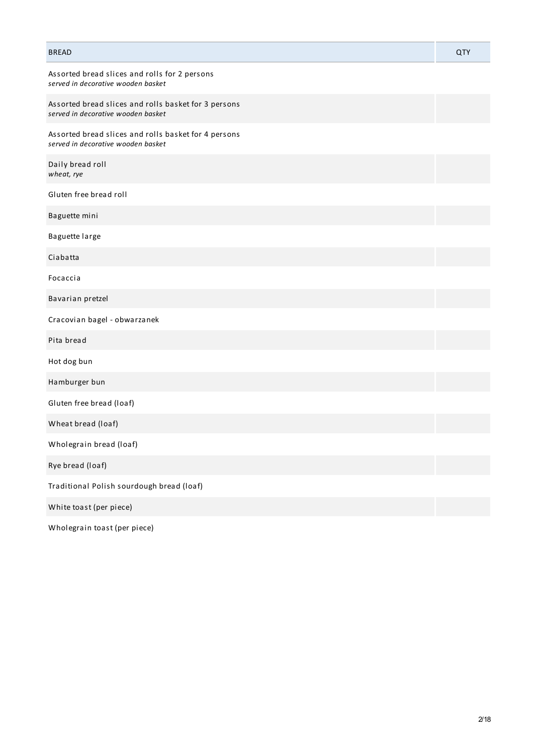| <b>BREAD</b>                                                                               | QTY |
|--------------------------------------------------------------------------------------------|-----|
| Assorted bread slices and rolls for 2 persons<br>served in decorative wooden basket        |     |
| Assorted bread slices and rolls basket for 3 persons<br>served in decorative wooden basket |     |
| Assorted bread slices and rolls basket for 4 persons<br>served in decorative wooden basket |     |
| Daily bread roll<br>wheat, rye                                                             |     |
| Gluten free bread roll                                                                     |     |
| Baguette mini                                                                              |     |
| Baguette large                                                                             |     |
| Ciabatta                                                                                   |     |
| Focaccia                                                                                   |     |
| Bavarian pretzel                                                                           |     |
| Cracovian bagel - obwarzanek                                                               |     |
| Pita bread                                                                                 |     |
| Hot dog bun                                                                                |     |
| Hamburger bun                                                                              |     |
| Gluten free bread (loaf)                                                                   |     |
| Wheat bread (loaf)                                                                         |     |
| Wholegrain bread (loaf)                                                                    |     |
| Rye bread (loaf)                                                                           |     |
| Traditional Polish sourdough bread (loaf)                                                  |     |
| White toast (per piece)                                                                    |     |
|                                                                                            |     |

Wholegrain toast (per piece)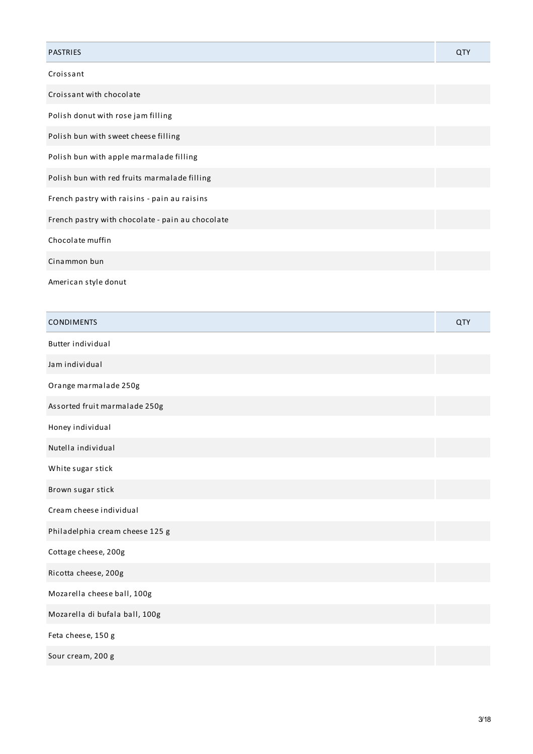| <b>PASTRIES</b>                                  | QTY |
|--------------------------------------------------|-----|
| Croissant                                        |     |
| Croissant with chocolate                         |     |
| Polish donut with rose jam filling               |     |
| Polish bun with sweet cheese filling             |     |
| Polish bun with apple marmalade filling          |     |
| Polish bun with red fruits marmalade filling     |     |
| French pastry with raisins - pain au raisins     |     |
| French pastry with chocolate - pain au chocolate |     |
| Chocolate muffin                                 |     |
| Cinammon bun                                     |     |
| American style donut                             |     |

| <b>CONDIMENTS</b>               | QTY |
|---------------------------------|-----|
| Butter individual               |     |
| Jam individual                  |     |
| Orange marmalade 250g           |     |
| Assorted fruit marmalade 250g   |     |
| Honey individual                |     |
| Nutella individual              |     |
| White sugar stick               |     |
| Brown sugar stick               |     |
| Cream cheese individual         |     |
| Philadelphia cream cheese 125 g |     |
| Cottage cheese, 200g            |     |
| Ricotta cheese, 200g            |     |
| Mozarella cheese ball, 100g     |     |
| Mozarella di bufala ball, 100g  |     |
| Feta cheese, 150 g              |     |
| Sour cream, 200 g               |     |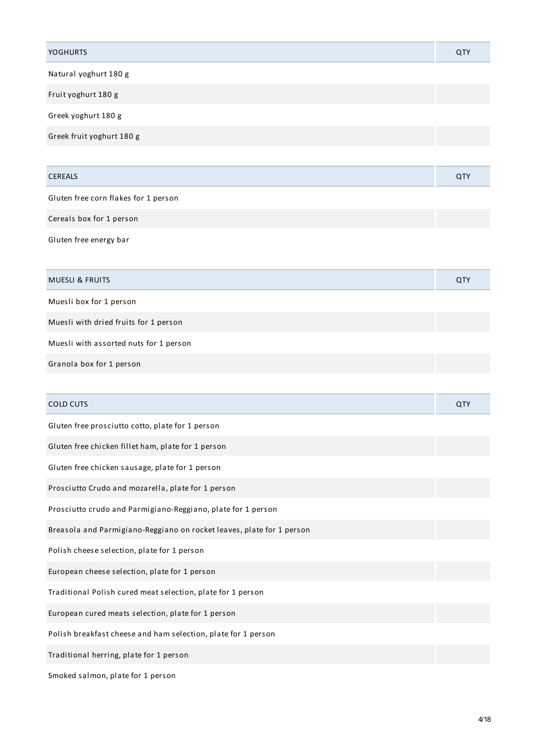| <b>YOGHURTS</b>                                                       | QTY        |
|-----------------------------------------------------------------------|------------|
| Natural yoghurt 180 g                                                 |            |
| Fruit yoghurt 180 g                                                   |            |
| Greek yoghurt 180 g                                                   |            |
| Greek fruit yoghurt 180 g                                             |            |
|                                                                       |            |
| <b>CEREALS</b>                                                        | QTY        |
| Gluten free corn flakes for 1 person                                  |            |
| Cereals box for 1 person                                              |            |
| Gluten free energy bar                                                |            |
|                                                                       |            |
| <b>MUESLI &amp; FRUITS</b>                                            | <b>QTY</b> |
| Muesli box for 1 person                                               |            |
| Muesli with dried fruits for 1 person                                 |            |
| Muesli with assorted nuts for 1 person                                |            |
| Granola box for 1 person                                              |            |
|                                                                       |            |
| <b>COLD CUTS</b>                                                      | QTY        |
| Gluten free prosciutto cotto, plate for 1 person                      |            |
| Gluten free chicken fillet ham, plate for 1 person                    |            |
| Gluten free chicken sausage, plate for 1 person                       |            |
| Prosciutto Crudo and mozarella, plate for 1 person                    |            |
| Prosciutto crudo and Parmigiano-Reggiano, plate for 1 person          |            |
| Breasola and Parmigiano-Reggiano on rocket leaves, plate for 1 person |            |
| Polish cheese selection, plate for 1 person                           |            |
| European cheese selection, plate for 1 person                         |            |
| Traditional Polish cured meat selection, plate for 1 person           |            |
| European cured meats selection, plate for 1 person                    |            |
| Polish breakfast cheese and ham selection, plate for 1 person         |            |
| Traditional herring, plate for 1 person                               |            |

Smoked salmon, plate for 1 person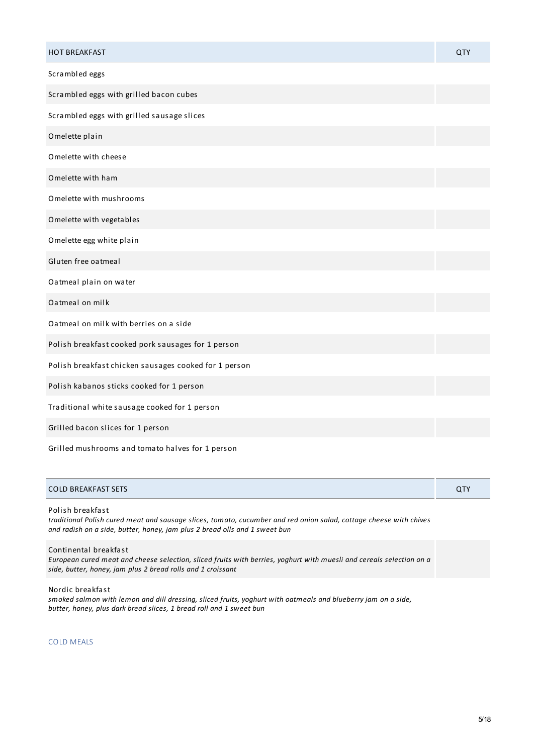| <b>HOT BREAKFAST</b>                                  | QTY |
|-------------------------------------------------------|-----|
| Scrambled eggs                                        |     |
| Scrambled eggs with grilled bacon cubes               |     |
| Scrambled eggs with grilled sausage slices            |     |
| Omelette plain                                        |     |
| Omelette with cheese                                  |     |
| Omelette with ham                                     |     |
| Omelette with mushrooms                               |     |
| Omelette with vegetables                              |     |
| Omelette egg white plain                              |     |
| Gluten free oatmeal                                   |     |
| Oatmeal plain on water                                |     |
| Oatmeal on milk                                       |     |
| Oatmeal on milk with berries on a side                |     |
| Polish breakfast cooked pork sausages for 1 person    |     |
| Polish breakfast chicken sausages cooked for 1 person |     |
| Polish kabanos sticks cooked for 1 person             |     |
| Traditional white sausage cooked for 1 person         |     |
| Grilled bacon slices for 1 person                     |     |
| Grilled mushrooms and tomato halves for 1 person      |     |

# COLD BREAKFAST SETS QTY

Polish breakfast

traditional Polish cured meat and sausage slices, tomato, cucumber and red onion salad, cottage cheese with chives *and radish on a side, butter, honey, jam plus 2 bread olls and 1 sweet bun*

Continental breakfast

European cured meat and cheese selection, sliced fruits with berries, yoghurt with muesli and cereals selection on a *side, butter, honey, jam plus 2 bread rolls and 1 croissant*

Nordic breakfast

smoked salmon with lemon and dill dressing, sliced fruits, yoghurt with oatmeals and blueberry jam on a side, *butter, honey, plus dark bread slices, 1 bread roll and 1 sweet bun*

COLD MEALS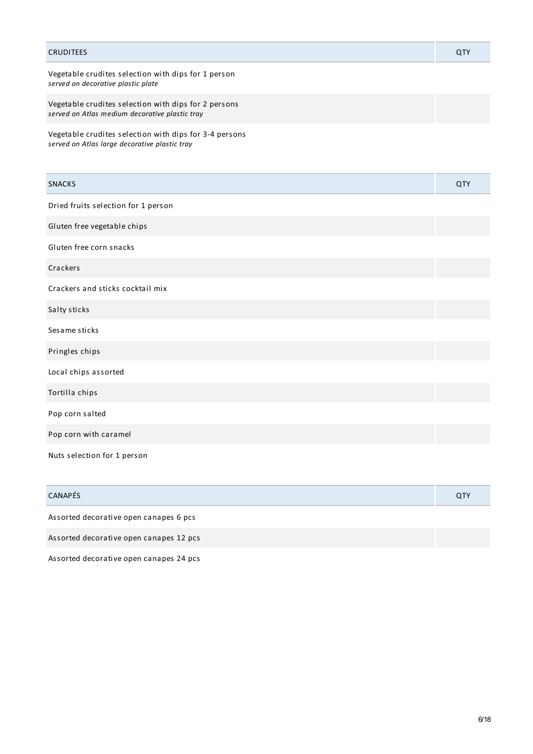| <b>CRUDITEES</b>                                                                                        | QTY        |
|---------------------------------------------------------------------------------------------------------|------------|
| Vegetable crudites selection with dips for 1 person<br>served on decorative plastic plate               |            |
| Vegetable crudites selection with dips for 2 persons<br>served on Atlas medium decorative plastic tray  |            |
| Vegetable crudites selection with dips for 3-4 persons<br>served on Atlas large decorative plastic tray |            |
| <b>SNACKS</b>                                                                                           | <b>QTY</b> |
| Dried fruits selection for 1 person                                                                     |            |
| Gluten free vegetable chips                                                                             |            |
| Gluten free corn snacks                                                                                 |            |
| Crackers                                                                                                |            |
| Crackers and sticks cocktail mix                                                                        |            |
| Salty sticks                                                                                            |            |
| Sesame sticks                                                                                           |            |
| Pringles chips                                                                                          |            |
| Local chips assorted                                                                                    |            |
| Tortilla chips                                                                                          |            |
| Pop corn salted                                                                                         |            |
| Pop corn with caramel                                                                                   |            |
| Nuts selection for 1 person                                                                             |            |

| <b>CANAPÉS</b>                          | <b>QTY</b> |
|-----------------------------------------|------------|
| Assorted decorative open canapes 6 pcs  |            |
| Assorted decorative open canapes 12 pcs |            |

Assorted decorative open canapes 24 pcs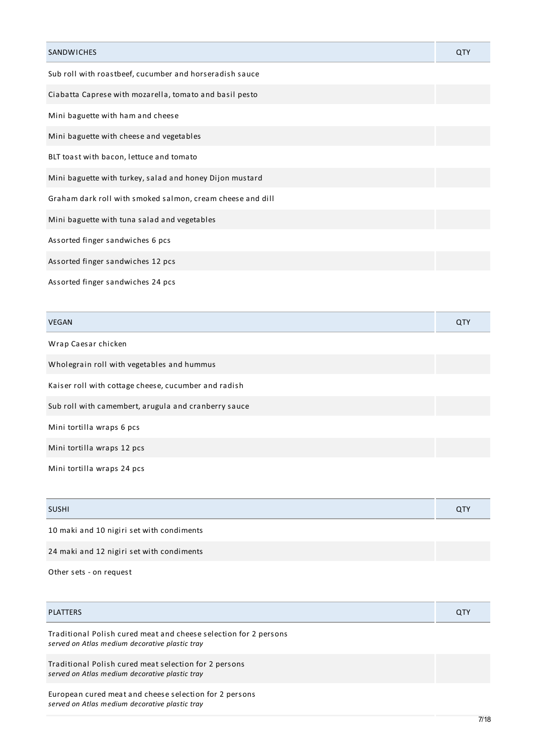| <b>SANDWICHES</b>                                          | QTY |
|------------------------------------------------------------|-----|
| Sub roll with roastbeef, cucumber and horseradish sauce    |     |
| Ciabatta Caprese with mozarella, tomato and basil pesto    |     |
| Mini baguette with ham and cheese                          |     |
| Mini baguette with cheese and vegetables                   |     |
| BLT toast with bacon, lettuce and tomato                   |     |
| Mini baguette with turkey, salad and honey Dijon mustard   |     |
| Graham dark roll with smoked salmon, cream cheese and dill |     |
| Mini baguette with tuna salad and vegetables               |     |
| Assorted finger sandwiches 6 pcs                           |     |
| Assorted finger sandwiches 12 pcs                          |     |
| Assorted finger sandwiches 24 pcs                          |     |

| <b>VEGAN</b>                                         | QTY |
|------------------------------------------------------|-----|
| Wrap Caesar chicken                                  |     |
| Wholegrain roll with vegetables and hummus           |     |
| Kaiser roll with cottage cheese, cucumber and radish |     |
| Sub roll with camembert, arugula and cranberry sauce |     |
| Mini tortilla wraps 6 pcs                            |     |
| Mini tortilla wraps 12 pcs                           |     |

Mini tortilla wraps 24 pcs

| <b>SUSHI</b> | $\sim$ |
|--------------|--------|
|              |        |

10 maki and 10 nigiri set with condiments

24 maki and 12 nigiri set with condiments

Other sets - on request

| <b>PLATTERS</b>                                                                                                    | <b>QTY</b> |
|--------------------------------------------------------------------------------------------------------------------|------------|
| Traditional Polish cured meat and cheese selection for 2 persons<br>served on Atlas medium decorative plastic tray |            |
| Traditional Polish cured meat selection for 2 persons<br>served on Atlas medium decorative plastic tray            |            |
| European cured meat and cheese selection for 2 persons<br>served on Atlas medium decorative plastic tray           |            |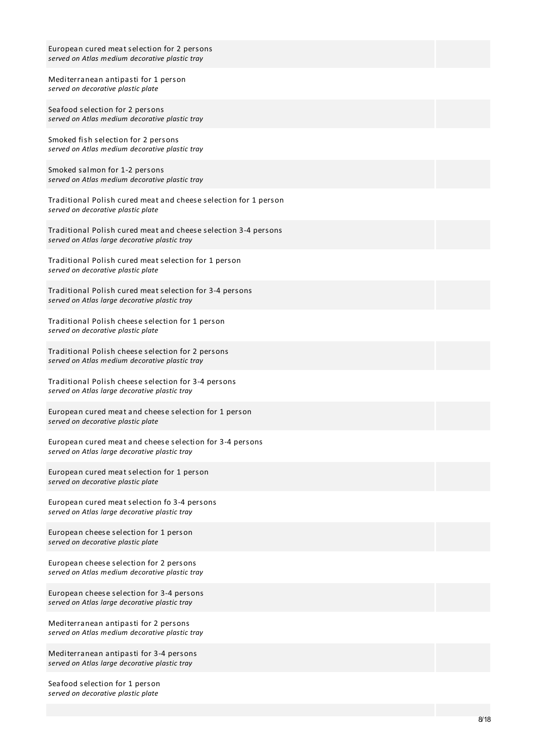| European cured meat selection for 2 persons<br>served on Atlas medium decorative plastic tray                   |
|-----------------------------------------------------------------------------------------------------------------|
| Mediterranean antipasti for 1 person<br>served on decorative plastic plate                                      |
| Seafood selection for 2 persons<br>served on Atlas medium decorative plastic tray                               |
| Smoked fish selection for 2 persons<br>served on Atlas medium decorative plastic tray                           |
| Smoked salmon for 1-2 persons<br>served on Atlas medium decorative plastic tray                                 |
| Traditional Polish cured meat and cheese selection for 1 person<br>served on decorative plastic plate           |
| Traditional Polish cured meat and cheese selection 3-4 persons<br>served on Atlas large decorative plastic tray |
| Traditional Polish cured meat selection for 1 person<br>served on decorative plastic plate                      |
| Traditional Polish cured meat selection for 3-4 persons<br>served on Atlas large decorative plastic tray        |
| Traditional Polish cheese selection for 1 person<br>served on decorative plastic plate                          |
| Traditional Polish cheese selection for 2 persons<br>served on Atlas medium decorative plastic tray             |
| Traditional Polish cheese selection for 3-4 persons<br>served on Atlas large decorative plastic tray            |
| European cured meat and cheese selection for 1 person<br>served on decorative plastic plate                     |
| European cured meat and cheese selection for 3-4 persons<br>served on Atlas large decorative plastic tray       |
| European cured meat selection for 1 person<br>served on decorative plastic plate                                |
| European cured meat selection fo 3-4 persons<br>served on Atlas large decorative plastic tray                   |
| European cheese selection for 1 person<br>served on decorative plastic plate                                    |
| European cheese selection for 2 persons<br>served on Atlas medium decorative plastic tray                       |
| European cheese selection for 3-4 persons<br>served on Atlas large decorative plastic tray                      |
| Mediterranean antipasti for 2 persons<br>served on Atlas medium decorative plastic tray                         |
| Mediterranean antipasti for 3-4 persons<br>served on Atlas large decorative plastic tray                        |

Seafood selection for 1 person *served on decorative plastic plate*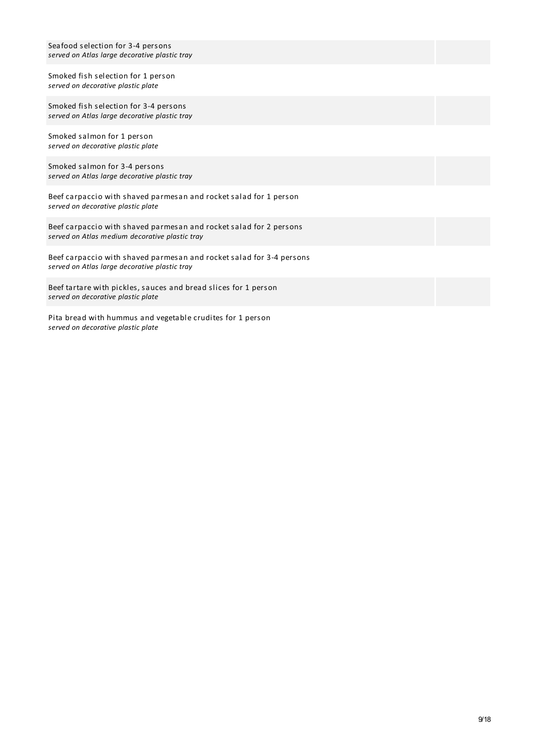| Seafood selection for 3-4 persons<br>served on Atlas large decorative plastic tray |
|------------------------------------------------------------------------------------|
| Smoked fish selection for 1 person<br>served on decorative plastic plate           |
| Smoked fish selection for 3-4 nersons                                              |

Scuon for 3-4 persons for  $\mathfrak{so}(n)$ *served on Atlas large decorative plastic tray*

Smoked salmon for 1 person *served on decorative plastic plate*

Smoked salmon for 3-4 persons *served on Atlas large decorative plastic tray*

Beef carpaccio with shaved parmesan and rocket salad for 1 person *served on decorative plastic plate*

Beef carpaccio with shaved parmesan and rocket salad for 2 persons *served on Atlas medium decorative plastic tray*

Beef carpaccio with shaved parmesan and rocket salad for 3-4 persons *served on Atlas large decorative plastic tray*

Beef tartare with pickles, sauces and bread slices for 1 person *served on decorative plastic plate*

Pita bread with hummus and vegetable crudites for 1 person *served on decorative plastic plate*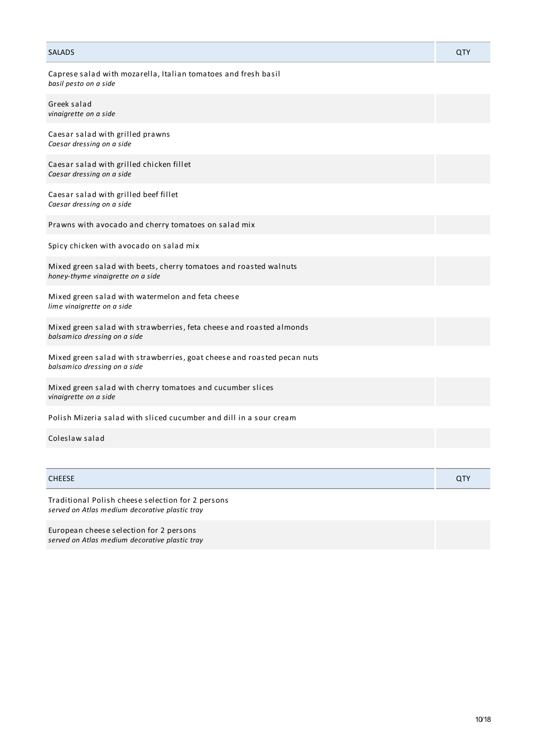| <b>SALADS</b>                                                                                           | QTY |
|---------------------------------------------------------------------------------------------------------|-----|
| Caprese salad with mozarella, Italian tomatoes and fresh basil<br>basil pesto on a side                 |     |
| Greek salad<br>vinaigrette on a side                                                                    |     |
| Caesar salad with grilled prawns<br>Caesar dressing on a side                                           |     |
| Caesar salad with grilled chicken fillet<br>Caesar dressing on a side                                   |     |
| Caesar salad with grilled beef fillet<br>Caesar dressing on a side                                      |     |
| Prawns with avocado and cherry tomatoes on salad mix                                                    |     |
| Spicy chicken with avocado on salad mix                                                                 |     |
| Mixed green salad with beets, cherry tomatoes and roasted walnuts<br>honey-thyme vinaigrette on a side  |     |
| Mixed green salad with watermelon and feta cheese<br>lime vinaigrette on a side                         |     |
| Mixed green salad with strawberries, feta cheese and roasted almonds<br>balsamico dressing on a side    |     |
| Mixed green salad with strawberries, goat cheese and roasted pecan nuts<br>balsamico dressing on a side |     |
| Mixed green salad with cherry tomatoes and cucumber slices<br>vinaigrette on a side                     |     |
| Polish Mizeria salad with sliced cucumber and dill in a sour cream                                      |     |
| Coleslaw salad                                                                                          |     |
|                                                                                                         |     |

CHEESE QTY

Traditional Polish cheese selection for 2 persons *served on Atlas medium decorative plastic tray*

European cheese selection for 2 persons *served on Atlas medium decorative plastic tray*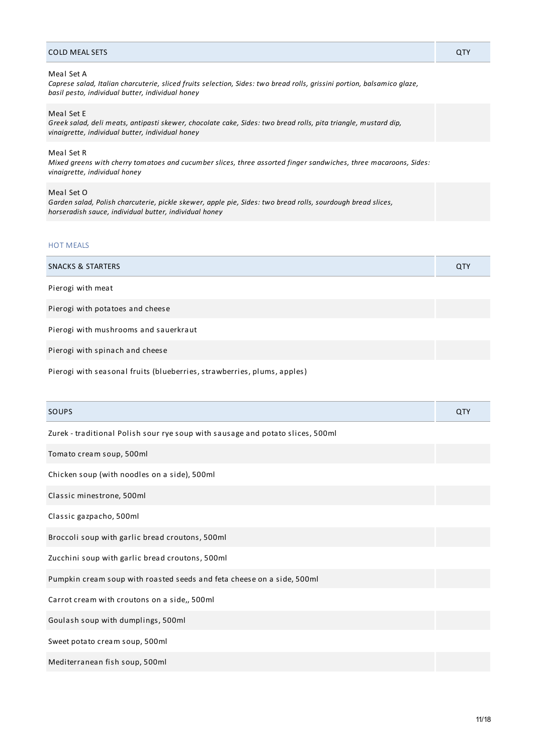#### COLD MEAL SETS QTY

#### Meal Set A

*Caprese salad, Italian charcuterie, sliced fruits selection, Sides: two bread rolls, grissini portion, balsamico glaze, basil pesto, individual butter, individual honey*

## Meal Set E

*Greek salad, deli meats, antipasti skewer, chocolate cake, Sides: two bread rolls, pita triangle, mustard dip, vinaigrette, individual butter, individual honey*

#### Meal Set R

*Mixed greens with cherry tomatoes and cucumber slices, three assorted finger sandwiches, three macaroons, Sides: vinaigrette, individual honey*

#### Meal Set O

*Garden salad, Polish charcuterie, pickle skewer, apple pie, Sides: two bread rolls, sourdough bread slices, horseradish sauce, individual butter, individual honey*

## HOT MEALS

| <b>SNACKS &amp; STARTERS</b> | <b>QTY</b> |
|------------------------------|------------|
| Pierogi with meat            |            |

Pierogi with potatoes and cheese

Pierogi with mushrooms and sauerkraut

Pierogi with spinach and cheese

Pierogi with seasonal fruits (blueberries, strawberries, plums, apples)

| SOUPS                                                                          | QTY |
|--------------------------------------------------------------------------------|-----|
| Zurek - traditional Polish sour rye soup with sausage and potato slices, 500ml |     |
| Tomato cream soup, 500ml                                                       |     |
| Chicken soup (with noodles on a side), 500ml                                   |     |
| Classic minestrone, 500ml                                                      |     |
| Classic gazpacho, 500ml                                                        |     |
| Broccoli soup with garlic bread croutons, 500ml                                |     |
| Zucchini soup with garlic bread croutons, 500ml                                |     |
| Pumpkin cream soup with roasted seeds and feta cheese on a side, 500ml         |     |
| Carrot cream with croutons on a side,, 500ml                                   |     |
| Goulash soup with dumplings, 500ml                                             |     |
| Sweet potato cream soup, 500ml                                                 |     |
| Mediterranean fish soup, 500ml                                                 |     |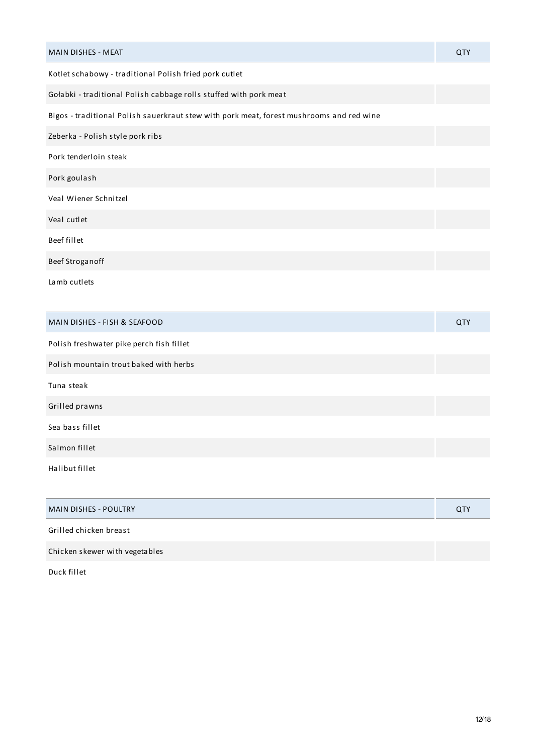| <b>MAIN DISHES - MEAT</b>                                                                | <b>QTY</b> |
|------------------------------------------------------------------------------------------|------------|
| Kotlet schabowy - traditional Polish fried pork cutlet                                   |            |
| Gołabki - traditional Polish cabbage rolls stuffed with pork meat                        |            |
| Bigos - traditional Polish sauerkraut stew with pork meat, forest mushrooms and red wine |            |
| Zeberka - Polish style pork ribs                                                         |            |
| Pork tenderloin steak                                                                    |            |
| Pork goulash                                                                             |            |
| Veal Wiener Schnitzel                                                                    |            |
| Veal cutlet                                                                              |            |
| Beef fillet                                                                              |            |
| Beef Stroganoff                                                                          |            |
| Lamb cutlets                                                                             |            |
|                                                                                          |            |
| MAIN DISHES - FISH & SEAFOOD                                                             | QTY        |
| Polish freshwater pike perch fish fillet                                                 |            |

| <b>MAIN DISHES - POULTRY</b>   | <b>QTY</b> |
|--------------------------------|------------|
| Grilled chicken breast         |            |
| Chicken skewer with vegetables |            |

Duck fillet

Tuna steak

Grilled prawns

Sea bass fillet

Salmon fillet

Halibut fillet

Polish mountain trout baked with herbs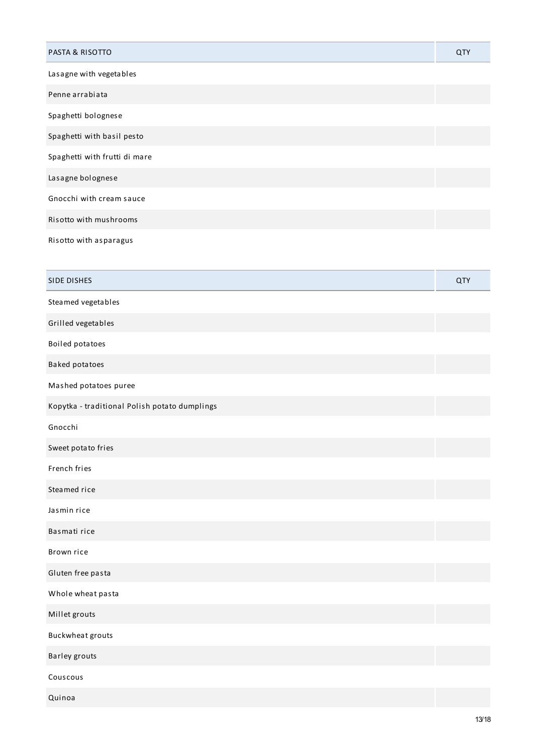| <b>PASTA &amp; RISOTTO</b>    | <b>QTY</b> |
|-------------------------------|------------|
| Lasagne with vegetables       |            |
| Penne arrabiata               |            |
| Spaghetti bolognese           |            |
| Spaghetti with basil pesto    |            |
| Spaghetti with frutti di mare |            |
| Lasagne bolognese             |            |
| Gnocchi with cream sauce      |            |
| Risotto with mushrooms        |            |
| Risotto with asparagus        |            |
|                               |            |
| <b>SIDE DISHES</b>            | <b>QTY</b> |
| Steamed vegetables            |            |
| Grilled vegetables            |            |
| Boiled potatoes               |            |

Baked potatoes Mashed potatoes puree

Kopytka - traditional Polish potato dumplings

Gnocchi

Sweet potato fries

French fries

Steamed rice

Jasmin rice

Basmati rice

Brown rice

Gluten free pasta

Whole wheat pasta

Millet grouts

Buckwheat grouts

Barley grouts

Couscous

Quinoa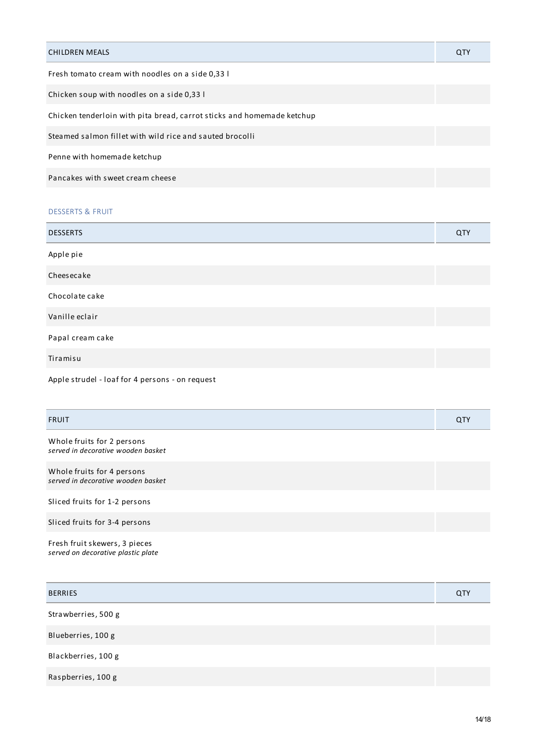| <b>CHILDREN MEALS</b>                                                  | <b>QTY</b> |
|------------------------------------------------------------------------|------------|
| Fresh tomato cream with noodles on a side 0.33 l                       |            |
| Chicken soup with noodles on a side 0,33 l                             |            |
| Chicken tenderloin with pita bread, carrot sticks and homemade ketchup |            |
| Steamed salmon fillet with wild rice and sauted brocolli               |            |
| Penne with homemade ketchup                                            |            |
| Pancakes with sweet cream cheese                                       |            |
|                                                                        |            |

# DESSERTS & FRUIT

| <b>DESSERTS</b>                                 | QTY |
|-------------------------------------------------|-----|
| Apple pie                                       |     |
| Cheesecake                                      |     |
| Chocolate cake                                  |     |
| Vanille eclair                                  |     |
| Papal cream cake                                |     |
| Tiramisu                                        |     |
| Apple strudel - loaf for 4 persons - on request |     |

| <b>FRUIT</b>                                                     | QTY |
|------------------------------------------------------------------|-----|
| Whole fruits for 2 persons<br>served in decorative wooden basket |     |
| Whole fruits for 4 persons<br>served in decorative wooden basket |     |
| Sliced fruits for 1-2 persons                                    |     |
| Sliced fruits for 3-4 persons                                    |     |
|                                                                  |     |

Fresh fruit skewers, 3 pieces *served on decorative plastic plate*

| <b>BERRIES</b>      | QTY |
|---------------------|-----|
| Strawberries, 500 g |     |
| Blueberries, 100 g  |     |
| Blackberries, 100 g |     |
| Raspberries, 100 g  |     |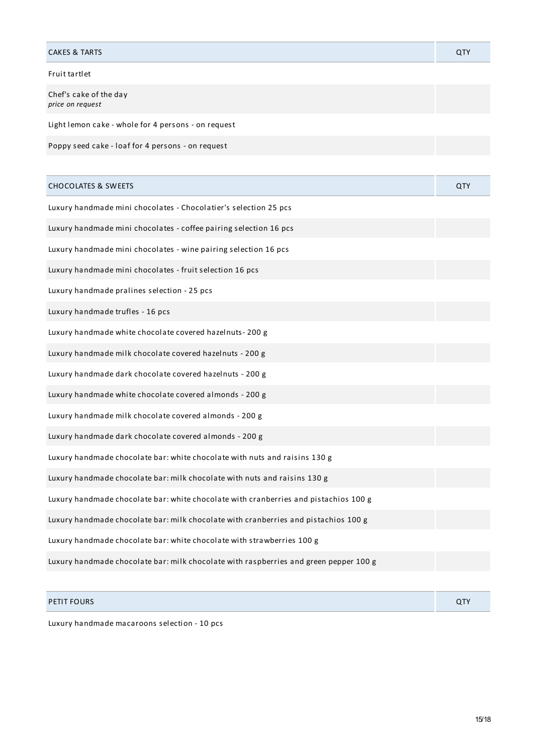# CAKES & TARTS QTY Fruit tartlet Chef's cake of the day *price on request*

Light lemon cake - whole for 4 persons - on request

Poppy seed cake - loaf for 4 persons - on request

| <b>CHOCOLATES &amp; SWEETS</b>                                                        | QTY |
|---------------------------------------------------------------------------------------|-----|
| Luxury handmade mini chocolates - Chocolatier's selection 25 pcs                      |     |
| Luxury handmade mini chocolates - coffee pairing selection 16 pcs                     |     |
| Luxury handmade mini chocolates - wine pairing selection 16 pcs                       |     |
| Luxury handmade mini chocolates - fruit selection 16 pcs                              |     |
| Luxury handmade pralines selection - 25 pcs                                           |     |
| Luxury handmade trufles - 16 pcs                                                      |     |
| Luxury handmade white chocolate covered hazelnuts-200 g                               |     |
| Luxury handmade milk chocolate covered hazelnuts - 200 g                              |     |
| Luxury handmade dark chocolate covered hazelnuts - 200 g                              |     |
| Luxury handmade white chocolate covered almonds - 200 g                               |     |
| Luxury handmade milk chocolate covered almonds - 200 g                                |     |
| Luxury handmade dark chocolate covered almonds - 200 g                                |     |
| Luxury handmade chocolate bar: white chocolate with nuts and raisins 130 g            |     |
| Luxury handmade chocolate bar: milk chocolate with nuts and raisins 130 g             |     |
| Luxury handmade chocolate bar: white chocolate with cranberries and pistachios 100 g  |     |
| Luxury handmade chocolate bar: milk chocolate with cranberries and pistachios 100 g   |     |
| Luxury handmade chocolate bar: white chocolate with strawberries 100 g                |     |
| Luxury handmade chocolate bar: milk chocolate with raspberries and green pepper 100 g |     |

# PETIT FOURS QTY

Luxury handmade macaroons selection - 10 pcs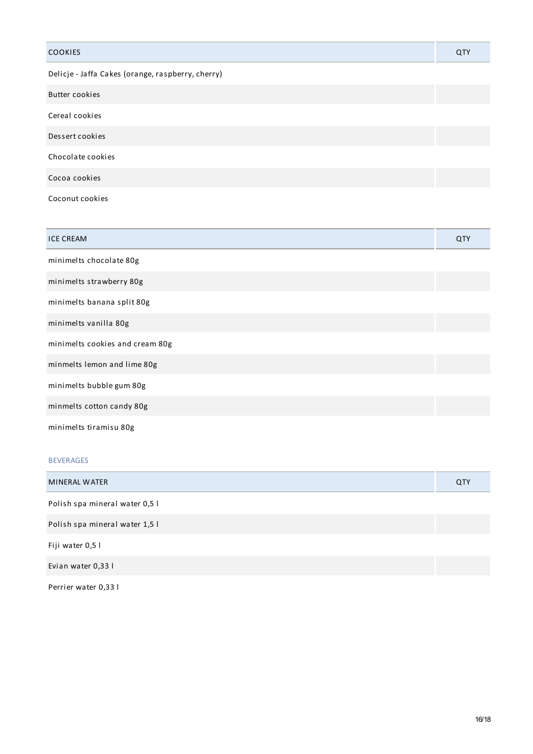| <b>COOKIES</b>                                    | QTY |
|---------------------------------------------------|-----|
| Delicje - Jaffa Cakes (orange, raspberry, cherry) |     |
| <b>Butter cookies</b>                             |     |
| Cereal cookies                                    |     |
| Dessert cookies                                   |     |
| Chocolate cookies                                 |     |
| Cocoa cookies                                     |     |
| Coconut cookies                                   |     |

| <b>ICE CREAM</b>                | QTY |
|---------------------------------|-----|
| minimelts chocolate 80g         |     |
| minimelts strawberry 80g        |     |
| minimelts banana split 80g      |     |
| minimelts vanilla 80g           |     |
| minimelts cookies and cream 80g |     |
| minmelts lemon and lime 80g     |     |
| minimelts bubble gum 80g        |     |
| minmelts cotton candy 80g       |     |
| minimelts tiramisu 80g          |     |

# BEVERAGES

| <b>MINERAL WATER</b>           | QTY |
|--------------------------------|-----|
| Polish spa mineral water 0,5 l |     |
| Polish spa mineral water 1,5 l |     |
| Fiji water 0,5 l               |     |
| Evian water 0,33 l             |     |
|                                |     |

Perrier water 0,33 l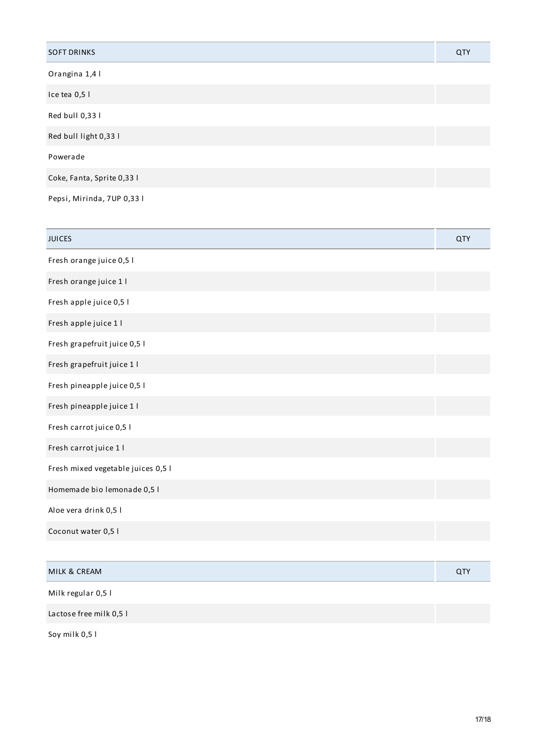| <b>SOFT DRINKS</b>         | QTY |
|----------------------------|-----|
| Orangina 1,4 l             |     |
| Ice tea 0,5 l              |     |
| Red bull 0,33 l            |     |
| Red bull light 0,33 l      |     |
| Powerade                   |     |
| Coke, Fanta, Sprite 0,33 l |     |
| Pepsi, Mirinda, 7UP 0,33 l |     |

| <b>JUICES</b>                      | QTY |
|------------------------------------|-----|
| Fresh orange juice 0,5 l           |     |
| Fresh orange juice 1 l             |     |
| Fresh apple juice 0,5 l            |     |
| Fresh apple juice 1 l              |     |
| Fresh grapefruit juice 0,5 l       |     |
| Fresh grapefruit juice 1 l         |     |
| Fresh pineapple juice 0,5 l        |     |
| Fresh pineapple juice 1 l          |     |
| Fresh carrot juice 0,5 l           |     |
| Fresh carrot juice 1 l             |     |
| Fresh mixed vegetable juices 0,5 l |     |
| Homemade bio lemonade 0,5 l        |     |
| Aloe vera drink 0,5 l              |     |
| Coconut water 0,5 l                |     |
|                                    |     |
| MILK & CREAM                       | QTY |
| Milk regular 0,5 l                 |     |
| Lactose free milk 0,5 l            |     |

Soy milk 0,5 l